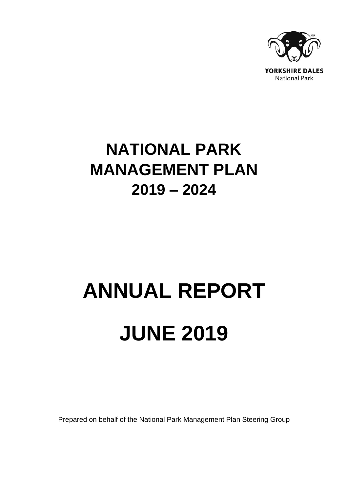

## **NATIONAL PARK MANAGEMENT PLAN 2019 – 2024**

# **ANNUAL REPORT JUNE 2019**

Prepared on behalf of the National Park Management Plan Steering Group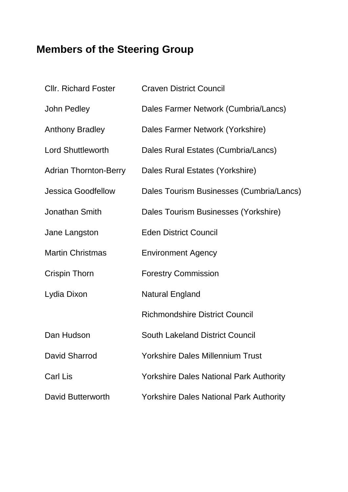## **Members of the Steering Group**

| <b>CIIr. Richard Foster</b>  | <b>Craven District Council</b>                 |
|------------------------------|------------------------------------------------|
| John Pedley                  | Dales Farmer Network (Cumbria/Lancs)           |
| <b>Anthony Bradley</b>       | Dales Farmer Network (Yorkshire)               |
| <b>Lord Shuttleworth</b>     | Dales Rural Estates (Cumbria/Lancs)            |
| <b>Adrian Thornton-Berry</b> | Dales Rural Estates (Yorkshire)                |
| <b>Jessica Goodfellow</b>    | Dales Tourism Businesses (Cumbria/Lancs)       |
| Jonathan Smith               | Dales Tourism Businesses (Yorkshire)           |
| Jane Langston                | <b>Eden District Council</b>                   |
| <b>Martin Christmas</b>      | <b>Environment Agency</b>                      |
| <b>Crispin Thorn</b>         | <b>Forestry Commission</b>                     |
| Lydia Dixon                  | <b>Natural England</b>                         |
|                              | <b>Richmondshire District Council</b>          |
| Dan Hudson                   | <b>South Lakeland District Council</b>         |
| <b>David Sharrod</b>         | <b>Yorkshire Dales Millennium Trust</b>        |
| <b>Carl Lis</b>              | <b>Yorkshire Dales National Park Authority</b> |
| David Butterworth            | <b>Yorkshire Dales National Park Authority</b> |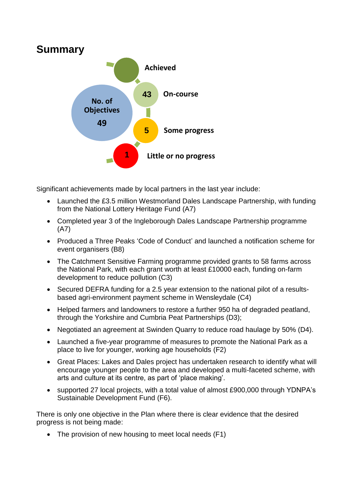

Significant achievements made by local partners in the last year include:

- Launched the £3.5 million Westmorland Dales Landscape Partnership, with funding from the National Lottery Heritage Fund (A7)
- Completed year 3 of the Ingleborough Dales Landscape Partnership programme (A7)
- Produced a Three Peaks 'Code of Conduct' and launched a notification scheme for event organisers (B8)
- The Catchment Sensitive Farming programme provided grants to 58 farms across the National Park, with each grant worth at least £10000 each, funding on-farm development to reduce pollution (C3)
- Secured DEFRA funding for a 2.5 year extension to the national pilot of a resultsbased agri-environment payment scheme in Wensleydale (C4)
- Helped farmers and landowners to restore a further 950 ha of degraded peatland, through the Yorkshire and Cumbria Peat Partnerships (D3);
- Negotiated an agreement at Swinden Quarry to reduce road haulage by 50% (D4).
- Launched a five-year programme of measures to promote the National Park as a place to live for younger, working age households (F2)
- Great Places: Lakes and Dales project has undertaken research to identify what will encourage younger people to the area and developed a multi-faceted scheme, with arts and culture at its centre, as part of 'place making'.
- supported 27 local projects, with a total value of almost £900,000 through YDNPA's Sustainable Development Fund (F6).

There is only one objective in the Plan where there is clear evidence that the desired progress is not being made:

• The provision of new housing to meet local needs (F1)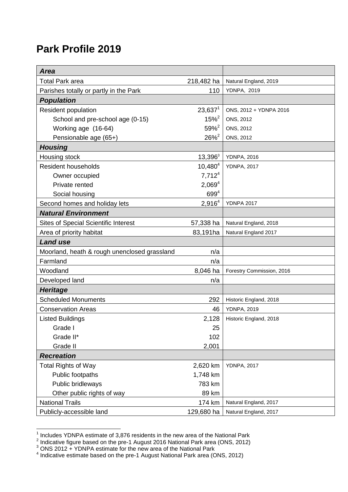### **Park Profile 2019**

<span id="page-3-1"></span><span id="page-3-0"></span>

| <b>Area</b>                                  |                    |                           |
|----------------------------------------------|--------------------|---------------------------|
| <b>Total Park area</b>                       | 218,482 ha         | Natural England, 2019     |
| Parishes totally or partly in the Park       | 110                | <b>YDNPA, 2019</b>        |
| <b>Population</b>                            |                    |                           |
| <b>Resident population</b>                   | $23,637^1$         | ONS, 2012 + YDNPA 2016    |
| School and pre-school age (0-15)             | $15\%^2$           | ONS, 2012                 |
| Working age (16-64)                          | $59%^{2}$          | ONS, 2012                 |
| Pensionable age (65+)                        | $26\%^{2}$         | ONS, 2012                 |
| <b>Housing</b>                               |                    |                           |
| Housing stock                                | $13,396^3$         | <b>YDNPA, 2016</b>        |
| <b>Resident households</b>                   | $10,480^{4}$       | <b>YDNPA, 2017</b>        |
| Owner occupied                               | 7,712 <sup>4</sup> |                           |
| Private rented                               | 2,069 <sup>4</sup> |                           |
| Social housing                               | $699^{4}$          |                           |
| Second homes and holiday lets                | 2,916 <sup>4</sup> | <b>YDNPA 2017</b>         |
| <b>Natural Environment</b>                   |                    |                           |
| <b>Sites of Special Scientific Interest</b>  | 57,338 ha          | Natural England, 2018     |
| Area of priority habitat                     | 83,191ha           | Natural England 2017      |
| <b>Land use</b>                              |                    |                           |
| Moorland, heath & rough unenclosed grassland | n/a                |                           |
| Farmland                                     | n/a                |                           |
| Woodland                                     | 8,046 ha           | Forestry Commission, 2016 |
| Developed land                               | n/a                |                           |
| <b>Heritage</b>                              |                    |                           |
| <b>Scheduled Monuments</b>                   | 292                | Historic England, 2018    |
| <b>Conservation Areas</b>                    | 46                 | <b>YDNPA, 2019</b>        |
| <b>Listed Buildings</b>                      | 2,128              | Historic England, 2018    |
| Grade I                                      | 25                 |                           |
| Grade II*                                    | 102                |                           |
| Grade II                                     | 2,001              |                           |
| <b>Recreation</b>                            |                    |                           |
| <b>Total Rights of Way</b>                   | 2,620 km           | <b>YDNPA, 2017</b>        |
| Public footpaths                             | 1,748 km           |                           |
| Public bridleways                            | 783 km             |                           |
| Other public rights of way                   | 89 km              |                           |
| <b>National Trails</b>                       | 174 km             | Natural England, 2017     |
| Publicly-accessible land                     | 129,680 ha         | Natural England, 2017     |

 1 Includes YDNPA estimate of 3,876 residents in the new area of the National Park 2 Indicative figure based on the pre-1 August 2016 National Park area (ONS, 2012)

 $^3$  ONS 2012 + YDNPA estimate for the new area of the National Park  $\hspace{0.1cm}\overline{\hspace{0.1cm}}\hspace{0.1cm}}$  "Indicative estimate based on the pre-1 August National Park area (ONS, 2012)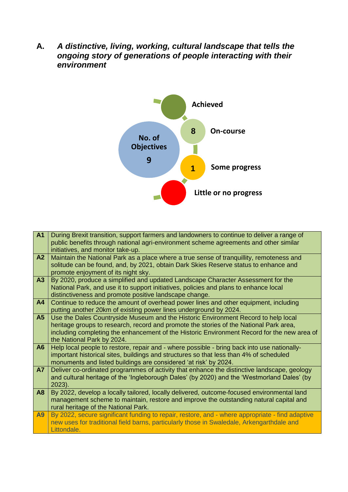**A.** *A distinctive, living, working, cultural landscape that tells the ongoing story of generations of people interacting with their environment*



| <b>A1</b>      | During Brexit transition, support farmers and landowners to continue to deliver a range of<br>public benefits through national agri-environment scheme agreements and other similar<br>initiatives, and monitor take-up.                                                                                  |
|----------------|-----------------------------------------------------------------------------------------------------------------------------------------------------------------------------------------------------------------------------------------------------------------------------------------------------------|
| A2             | Maintain the National Park as a place where a true sense of tranquillity, remoteness and<br>solitude can be found, and, by 2021, obtain Dark Skies Reserve status to enhance and<br>promote enjoyment of its night sky.                                                                                   |
| A3             | By 2020, produce a simplified and updated Landscape Character Assessment for the<br>National Park, and use it to support initiatives, policies and plans to enhance local<br>distinctiveness and promote positive landscape change.                                                                       |
| A <sub>4</sub> | Continue to reduce the amount of overhead power lines and other equipment, including<br>putting another 20km of existing power lines underground by 2024.                                                                                                                                                 |
| A <sub>5</sub> | Use the Dales Countryside Museum and the Historic Environment Record to help local<br>heritage groups to research, record and promote the stories of the National Park area,<br>including completing the enhancement of the Historic Environment Record for the new area of<br>the National Park by 2024. |
| A <sub>6</sub> | Help local people to restore, repair and - where possible - bring back into use nationally-<br>important historical sites, buildings and structures so that less than 4% of scheduled<br>monuments and listed buildings are considered 'at risk' by 2024.                                                 |
| <b>A7</b>      | Deliver co-ordinated programmes of activity that enhance the distinctive landscape, geology<br>and cultural heritage of the 'Ingleborough Dales' (by 2020) and the 'Westmorland Dales' (by<br>$2023$ ).                                                                                                   |
| A <sub>8</sub> | By 2022, develop a locally tailored, locally delivered, outcome-focused environmental land<br>management scheme to maintain, restore and improve the outstanding natural capital and<br>rural heritage of the National Park.                                                                              |
| <b>A9</b>      | By 2022, secure significant funding to repair, restore, and - where appropriate - find adaptive<br>new uses for traditional field barns, particularly those in Swaledale, Arkengarthdale and<br>Littondale.                                                                                               |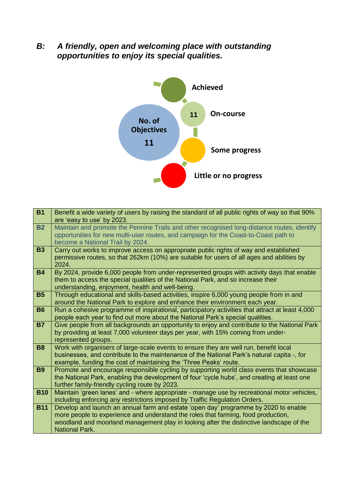*B: A friendly, open and welcoming place with outstanding opportunities to enjoy its special qualities.*



| <b>B1</b>  | Benefit a wide variety of users by raising the standard of all public rights of way so that 90%                                                                                |
|------------|--------------------------------------------------------------------------------------------------------------------------------------------------------------------------------|
|            | are 'easy to use' by 2023.                                                                                                                                                     |
| <b>B2</b>  | Maintain and promote the Pennine Trails and other recognised long-distance routes, identify                                                                                    |
|            | opportunities for new multi-user routes, and campaign for the Coast-to-Coast path to                                                                                           |
|            | become a National Trail by 2024.                                                                                                                                               |
| <b>B3</b>  | Carry out works to improve access on appropriate public rights of way and established                                                                                          |
|            | permissive routes, so that 262km (10%) are suitable for users of all ages and abilities by                                                                                     |
|            | 2024.                                                                                                                                                                          |
| <b>B4</b>  | By 2024, provide 6,000 people from under-represented groups with activity days that enable                                                                                     |
|            | them to access the special qualities of the National Park, and so increase their                                                                                               |
|            | understanding, enjoyment, health and well-being.                                                                                                                               |
| <b>B5</b>  | Through educational and skills-based activities, inspire 6,000 young people from in and                                                                                        |
|            | around the National Park to explore and enhance their environment each year.                                                                                                   |
| <b>B6</b>  | Run a cohesive programme of inspirational, participatory activities that attract at least 4,000                                                                                |
| <b>B7</b>  | people each year to find out more about the National Park's special qualities.<br>Give people from all backgrounds an opportunity to enjoy and contribute to the National Park |
|            | by providing at least 7,000 volunteer days per year, with 15% coming from under-                                                                                               |
|            | represented groups.                                                                                                                                                            |
| <b>B8</b>  | Work with organisers of large-scale events to ensure they are well run, benefit local                                                                                          |
|            | businesses, and contribute to the maintenance of the National Park's natural capita -, for                                                                                     |
|            | example, funding the cost of maintaining the 'Three Peaks' route.                                                                                                              |
| <b>B9</b>  | Promote and encourage responsible cycling by supporting world class events that showcase                                                                                       |
|            | the National Park, enabling the development of four 'cycle hubs', and creating at least one                                                                                    |
|            | further family-friendly cycling route by 2023.                                                                                                                                 |
| <b>B10</b> | Maintain 'green lanes' and - where appropriate - manage use by recreational motor vehicles,                                                                                    |
|            | including enforcing any restrictions imposed by Traffic Regulation Orders.                                                                                                     |
| <b>B11</b> | Develop and launch an annual farm and estate 'open day' programme by 2020 to enable                                                                                            |
|            | more people to experience and understand the roles that farming, food production,                                                                                              |
|            | woodland and moorland management play in looking after the distinctive landscape of the                                                                                        |
|            | <b>National Park.</b>                                                                                                                                                          |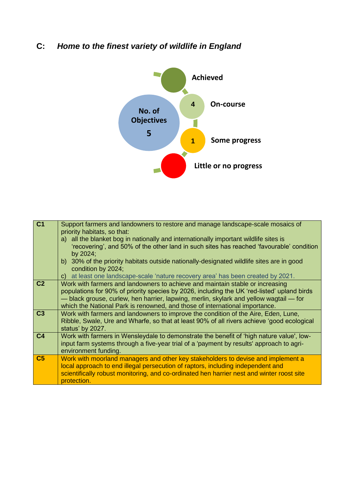#### **C:** *Home to the finest variety of wildlife in England*



| C <sub>1</sub> | Support farmers and landowners to restore and manage landscape-scale mosaics of<br>priority habitats, so that:<br>a) all the blanket bog in nationally and internationally important wildlife sites is<br>'recovering', and 50% of the other land in such sites has reached 'favourable' condition<br>by 2024;<br>b) 30% of the priority habitats outside nationally-designated wildlife sites are in good<br>condition by 2024;<br>at least one landscape-scale 'nature recovery area' has been created by 2021.<br>C) |
|----------------|-------------------------------------------------------------------------------------------------------------------------------------------------------------------------------------------------------------------------------------------------------------------------------------------------------------------------------------------------------------------------------------------------------------------------------------------------------------------------------------------------------------------------|
| C <sub>2</sub> | Work with farmers and landowners to achieve and maintain stable or increasing<br>populations for 90% of priority species by 2026, including the UK 'red-listed' upland birds<br>- black grouse, curlew, hen harrier, lapwing, merlin, skylark and yellow wagtail - for<br>which the National Park is renowned, and those of international importance.                                                                                                                                                                   |
| C <sub>3</sub> | Work with farmers and landowners to improve the condition of the Aire, Eden, Lune,<br>Ribble, Swale, Ure and Wharfe, so that at least 90% of all rivers achieve 'good ecological<br>status' by 2027.                                                                                                                                                                                                                                                                                                                    |
| C <sub>4</sub> | Work with farmers in Wensleydale to demonstrate the benefit of 'high nature value', low-<br>input farm systems through a five-year trial of a 'payment by results' approach to agri-<br>environment funding.                                                                                                                                                                                                                                                                                                            |
| C <sub>5</sub> | Work with moorland managers and other key stakeholders to devise and implement a<br>local approach to end illegal persecution of raptors, including independent and<br>scientifically robust monitoring, and co-ordinated hen harrier nest and winter roost site<br>protection.                                                                                                                                                                                                                                         |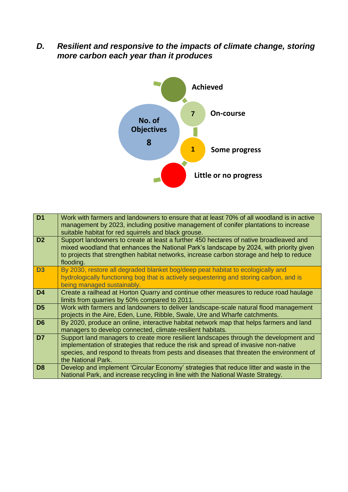*D. Resilient and responsive to the impacts of climate change, storing more carbon each year than it produces*



| D <sub>1</sub> | Work with farmers and landowners to ensure that at least 70% of all woodland is in active<br>management by 2023, including positive management of conifer plantations to increase<br>suitable habitat for red squirrels and black grouse.                                                      |
|----------------|------------------------------------------------------------------------------------------------------------------------------------------------------------------------------------------------------------------------------------------------------------------------------------------------|
| D <sub>2</sub> | Support landowners to create at least a further 450 hectares of native broadleaved and<br>mixed woodland that enhances the National Park's landscape by 2024, with priority given<br>to projects that strengthen habitat networks, increase carbon storage and help to reduce<br>flooding.     |
| D <sub>3</sub> | By 2030, restore all degraded blanket bog/deep peat habitat to ecologically and<br>hydrologically functioning bog that is actively sequestering and storing carbon, and is<br>being managed sustainably.                                                                                       |
| D <sub>4</sub> | Create a railhead at Horton Quarry and continue other measures to reduce road haulage<br>limits from quarries by 50% compared to 2011.                                                                                                                                                         |
| D <sub>5</sub> | Work with farmers and landowners to deliver landscape-scale natural flood management<br>projects in the Aire, Eden, Lune, Ribble, Swale, Ure and Wharfe catchments.                                                                                                                            |
| D <sub>6</sub> | By 2020, produce an online, interactive habitat network map that helps farmers and land<br>managers to develop connected, climate-resilient habitats.                                                                                                                                          |
| D7             | Support land managers to create more resilient landscapes through the development and<br>implementation of strategies that reduce the risk and spread of invasive non-native<br>species, and respond to threats from pests and diseases that threaten the environment of<br>the National Park. |
| D <sub>8</sub> | Develop and implement 'Circular Economy' strategies that reduce litter and waste in the<br>National Park, and increase recycling in line with the National Waste Strategy.                                                                                                                     |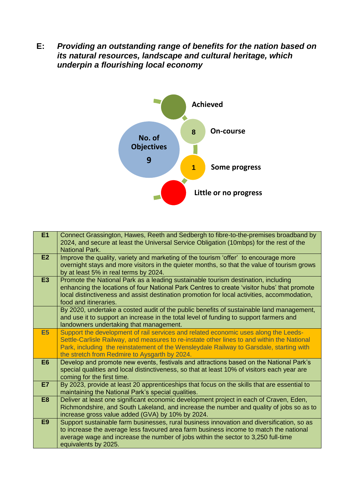**E:** *Providing an outstanding range of benefits for the nation based on its natural resources, landscape and cultural heritage, which underpin a flourishing local economy*



| E1             | Connect Grassington, Hawes, Reeth and Sedbergh to fibre-to-the-premises broadband by<br>2024, and secure at least the Universal Service Obligation (10mbps) for the rest of the<br><b>National Park.</b>                                                                                                                      |
|----------------|-------------------------------------------------------------------------------------------------------------------------------------------------------------------------------------------------------------------------------------------------------------------------------------------------------------------------------|
| E2             | Improve the quality, variety and marketing of the tourism 'offer' to encourage more<br>overnight stays and more visitors in the quieter months, so that the value of tourism grows<br>by at least 5% in real terms by 2024.                                                                                                   |
| <b>E3</b>      | Promote the National Park as a leading sustainable tourism destination, including<br>enhancing the locations of four National Park Centres to create 'visitor hubs' that promote<br>local distinctiveness and assist destination promotion for local activities, accommodation,<br>food and itineraries.                      |
|                | By 2020, undertake a costed audit of the public benefits of sustainable land management,<br>and use it to support an increase in the total level of funding to support farmers and<br>landowners undertaking that management.                                                                                                 |
| <b>E5</b>      | Support the development of rail services and related economic uses along the Leeds-<br>Settle-Carlisle Railway, and measures to re-instate other lines to and within the National<br>Park, including the reinstatement of the Wensleydale Railway to Garsdale, starting with<br>the stretch from Redmire to Aysgarth by 2024. |
| E <sub>6</sub> | Develop and promote new events, festivals and attractions based on the National Park's<br>special qualities and local distinctiveness, so that at least 10% of visitors each year are<br>coming for the first time.                                                                                                           |
| <b>E7</b>      | By 2023, provide at least 20 apprenticeships that focus on the skills that are essential to<br>maintaining the National Park's special qualities.                                                                                                                                                                             |
| E <sub>8</sub> | Deliver at least one significant economic development project in each of Craven, Eden,<br>Richmondshire, and South Lakeland, and increase the number and quality of jobs so as to<br>increase gross value added (GVA) by 10% by 2024.                                                                                         |
| E <sub>9</sub> | Support sustainable farm businesses, rural business innovation and diversification, so as<br>to increase the average less favoured area farm business income to match the national<br>average wage and increase the number of jobs within the sector to 3,250 full-time<br>equivalents by 2025.                               |
|                |                                                                                                                                                                                                                                                                                                                               |